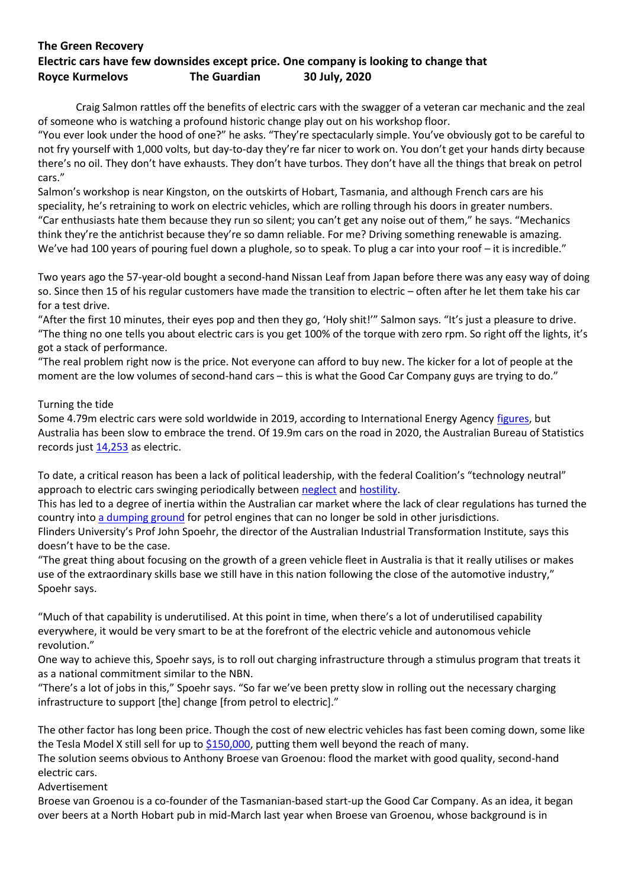## **The Green Recovery Electric cars have few downsides except price. One company is looking to change that Royce Kurmelovs The Guardian 30 July, 2020**

Craig Salmon rattles off the benefits of electric cars with the swagger of a veteran car mechanic and the zeal of someone who is watching a profound historic change play out on his workshop floor.

"You ever look under the hood of one?" he asks. "They're spectacularly simple. You've obviously got to be careful to not fry yourself with 1,000 volts, but day-to-day they're far nicer to work on. You don't get your hands dirty because there's no oil. They don't have exhausts. They don't have turbos. They don't have all the things that break on petrol cars."

Salmon's workshop is near Kingston, on the outskirts of Hobart, Tasmania, and although French cars are his speciality, he's retraining to work on electric vehicles, which are rolling through his doors in greater numbers. "Car enthusiasts hate them because they run so silent; you can't get any noise out of them," he says. "Mechanics think they're the antichrist because they're so damn reliable. For me? Driving something renewable is amazing. We've had 100 years of pouring fuel down a plughole, so to speak. To plug a car into your roof – it is incredible."

Two years ago the 57-year-old bought a second-hand Nissan Leaf from Japan before there was any easy way of doing so. Since then 15 of his regular customers have made the transition to electric – often after he let them take his car for a test drive.

"After the first 10 minutes, their eyes pop and then they go, 'Holy shit!'" Salmon says. "It's just a pleasure to drive. "The thing no one tells you about electric cars is you get 100% of the torque with zero rpm. So right off the lights, it's got a stack of performance.

"The real problem right now is the price. Not everyone can afford to buy new. The kicker for a lot of people at the moment are the low volumes of second-hand cars – this is what the Good Car Company guys are trying to do."

## Turning the tide

Some 4.79m electric cars were sold worldwide in 2019, according to International Energy Agency [figures,](https://www.iea.org/reports/global-ev-outlook-2020) but Australia has been slow to embrace the trend. Of 19.9m cars on the road in 2020, the Australian Bureau of Statistics records just [14,253](https://www.abs.gov.au/ausstats/abs@.nsf/mediareleasesbytitle/28861A19CCDB9441CA25753D001B59DA?OpenDocument) as electric.

To date, a critical reason has been a lack of political leadership, with the federal Coalition's "technology neutral" approach to electric cars swinging periodically between [neglect](https://www.theguardian.com/environment/2019/feb/01/theyve-done-nothing-fuel-emissions-taskforce-accused-of-apathy) and [hostility.](https://www.theguardian.com/australia-news/2019/apr/07/shorten-wants-to-end-the-weekend-morrison-attacks-labors-electric-vehicle-policy)

This has led to a degree of inertia within the Australian car market where the lack of clear regulations has turned the country into [a dumping ground](https://www.theguardian.com/environment/2019/nov/16/wrong-turn-why-australias-vehicle-emissions-are-rising) for petrol engines that can no longer be sold in other jurisdictions.

Flinders University's Prof John Spoehr, the director of the Australian Industrial Transformation Institute, says this doesn't have to be the case.

"The great thing about focusing on the growth of a green vehicle fleet in Australia is that it really utilises or makes use of the extraordinary skills base we still have in this nation following the close of the automotive industry," Spoehr says.

"Much of that capability is underutilised. At this point in time, when there's a lot of underutilised capability everywhere, it would be very smart to be at the forefront of the electric vehicle and autonomous vehicle revolution."

One way to achieve this, Spoehr says, is to roll out charging infrastructure through a stimulus program that treats it as a national commitment similar to the NBN.

"There's a lot of jobs in this," Spoehr says. "So far we've been pretty slow in rolling out the necessary charging infrastructure to support [the] change [from petrol to electric]."

The other factor has long been price. Though the cost of new electric vehicles has fast been coming down, some like the Tesla Model X still sell for up to [\\$150,000,](https://www.tesla.com/en_au/modelx/design#battery) putting them well beyond the reach of many.

The solution seems obvious to Anthony Broese van Groenou: flood the market with good quality, second-hand electric cars.

Advertisement

Broese van Groenou is a co-founder of the Tasmanian-based start-up the Good Car Company. As an idea, it began over beers at a North Hobart pub in mid-March last year when Broese van Groenou, whose background is in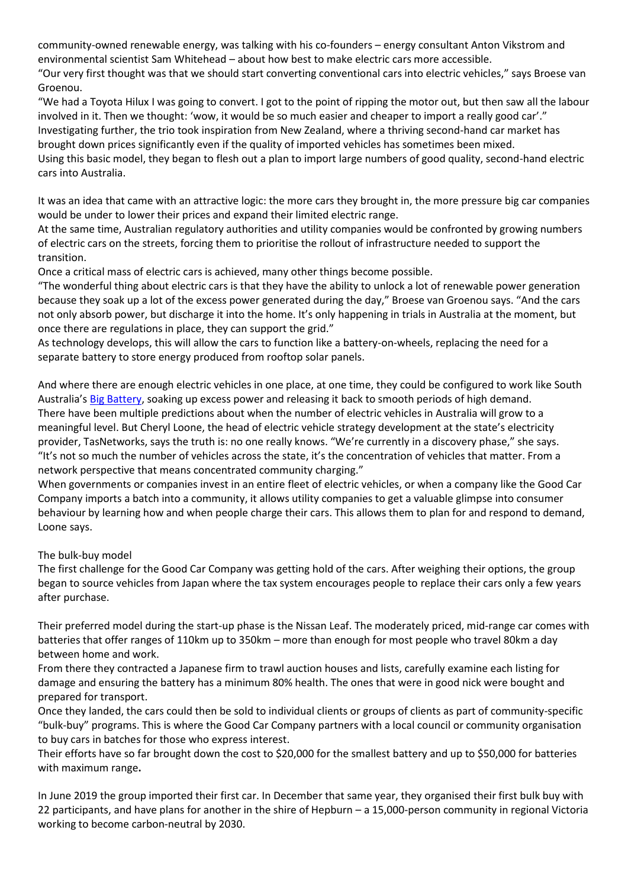community-owned renewable energy, was talking with his co-founders – energy consultant Anton Vikstrom and environmental scientist Sam Whitehead – about how best to make electric cars more accessible.

"Our very first thought was that we should start converting conventional cars into electric vehicles," says Broese van Groenou.

"We had a Toyota Hilux I was going to convert. I got to the point of ripping the motor out, but then saw all the labour involved in it. Then we thought: 'wow, it would be so much easier and cheaper to import a really good car'." Investigating further, the trio took inspiration from New Zealand, where a thriving second-hand car market has brought down prices significantly even if the quality of imported vehicles has sometimes been mixed.

Using this basic model, they began to flesh out a plan to import large numbers of good quality, second-hand electric cars into Australia.

It was an idea that came with an attractive logic: the more cars they brought in, the more pressure big car companies would be under to lower their prices and expand their limited electric range.

At the same time, Australian regulatory authorities and utility companies would be confronted by growing numbers of electric cars on the streets, forcing them to prioritise the rollout of infrastructure needed to support the transition.

Once a critical mass of electric cars is achieved, many other things become possible.

"The wonderful thing about electric cars is that they have the ability to unlock a lot of renewable power generation because they soak up a lot of the excess power generated during the day," Broese van Groenou says. "And the cars not only absorb power, but discharge it into the home. It's only happening in trials in Australia at the moment, but once there are regulations in place, they can support the grid."

As technology develops, this will allow the cars to function like a battery-on-wheels, replacing the need for a separate battery to store energy produced from rooftop solar panels.

And where there are enough electric vehicles in one place, at one time, they could be configured to work like South Australia's [Big Battery,](https://hornsdalepowerreserve.com.au/) soaking up excess power and releasing it back to smooth periods of high demand. There have been multiple predictions about when the number of electric vehicles in Australia will grow to a meaningful level. But Cheryl Loone, the head of electric vehicle strategy development at the state's electricity provider, TasNetworks, says the truth is: no one really knows. "We're currently in a discovery phase," she says. "It's not so much the number of vehicles across the state, it's the concentration of vehicles that matter. From a network perspective that means concentrated community charging."

When governments or companies invest in an entire fleet of electric vehicles, or when a company like the Good Car Company imports a batch into a community, it allows utility companies to get a valuable glimpse into consumer behaviour by learning how and when people charge their cars. This allows them to plan for and respond to demand, Loone says.

## The bulk-buy model

The first challenge for the Good Car Company was getting hold of the cars. After weighing their options, the group began to source vehicles from Japan where the tax system encourages people to replace their cars only a few years after purchase.

Their preferred model during the start-up phase is the Nissan Leaf. The moderately priced, mid-range car comes with batteries that offer ranges of 110km up to 350km – more than enough for most people who travel 80km a day between home and work.

From there they contracted a Japanese firm to trawl auction houses and lists, carefully examine each listing for damage and ensuring the battery has a minimum 80% health. The ones that were in good nick were bought and prepared for transport.

Once they landed, the cars could then be sold to individual clients or groups of clients as part of community-specific "bulk-buy" programs. This is where the Good Car Company partners with a local council or community organisation to buy cars in batches for those who express interest.

Their efforts have so far brought down the cost to \$20,000 for the smallest battery and up to \$50,000 for batteries with maximum range**.**

In June 2019 the group imported their first car. In December that same year, they organised their first bulk buy with 22 participants, and have plans for another in the shire of Hepburn – a 15,000-person community in regional Victoria working to become carbon-neutral by 2030.